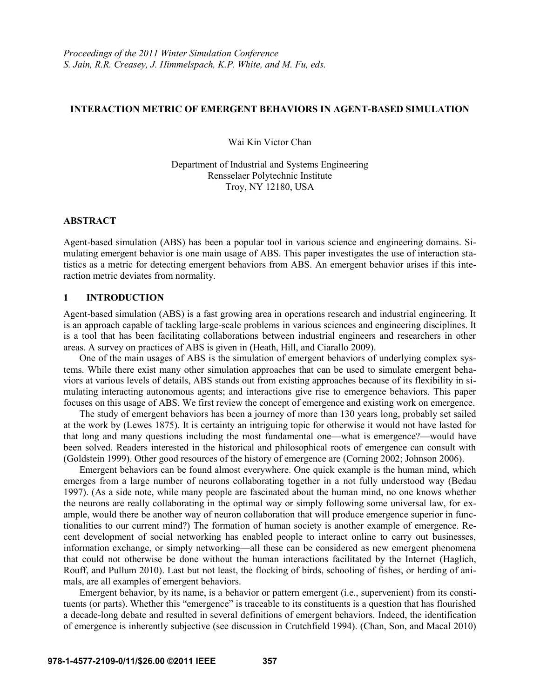## **INTERACTION METRIC OF EMERGENT BEHAVIORS IN AGENT-BASED SIMULATION**

Wai Kin Victor Chan

Department of Industrial and Systems Engineering Rensselaer Polytechnic Institute Troy, NY 12180, USA

## **ABSTRACT**

Agent-based simulation (ABS) has been a popular tool in various science and engineering domains. Simulating emergent behavior is one main usage of ABS. This paper investigates the use of interaction statistics as a metric for detecting emergent behaviors from ABS. An emergent behavior arises if this interaction metric deviates from normality.

## **1 INTRODUCTION**

Agent-based simulation (ABS) is a fast growing area in operations research and industrial engineering. It is an approach capable of tackling large-scale problems in various sciences and engineering disciplines. It is a tool that has been facilitating collaborations between industrial engineers and researchers in other areas. A survey on practices of ABS is given in (Heath, Hill, and Ciarallo 2009).

One of the main usages of ABS is the simulation of emergent behaviors of underlying complex systems. While there exist many other simulation approaches that can be used to simulate emergent behaviors at various levels of details, ABS stands out from existing approaches because of its flexibility in simulating interacting autonomous agents; and interactions give rise to emergence behaviors. This paper focuses on this usage of ABS. We first review the concept of emergence and existing work on emergence.

The study of emergent behaviors has been a journey of more than 130 years long, probably set sailed at the work by (Lewes 1875). It is certainty an intriguing topic for otherwise it would not have lasted for that long and many questions including the most fundamental one—what is emergence?—would have been solved. Readers interested in the historical and philosophical roots of emergence can consult with (Goldstein 1999). Other good resources of the history of emergence are (Corning 2002; Johnson 2006).

Emergent behaviors can be found almost everywhere. One quick example is the human mind, which emerges from a large number of neurons collaborating together in a not fully understood way (Bedau 1997). (As a side note, while many people are fascinated about the human mind, no one knows whether the neurons are really collaborating in the optimal way or simply following some universal law, for example, would there be another way of neuron collaboration that will produce emergence superior in functionalities to our current mind?) The formation of human society is another example of emergence. Recent development of social networking has enabled people to interact online to carry out businesses, information exchange, or simply networking—all these can be considered as new emergent phenomena that could not otherwise be done without the human interactions facilitated by the Internet (Haglich, Rouff, and Pullum 2010). Last but not least, the flocking of birds, schooling of fishes, or herding of animals, are all examples of emergent behaviors.

Emergent behavior, by its name, is a behavior or pattern emergent (i.e., supervenient) from its constituents (or parts). Whether this "emergence" is traceable to its constituents is a question that has flourished a decade-long debate and resulted in several definitions of emergent behaviors. Indeed, the identification of emergence is inherently subjective (see discussion in Crutchfield 1994). (Chan, Son, and Macal 2010)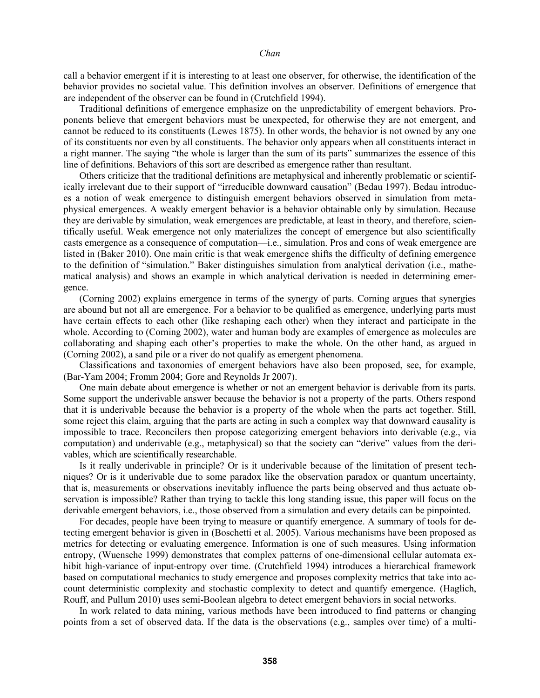call a behavior emergent if it is interesting to at least one observer, for otherwise, the identification of the behavior provides no societal value. This definition involves an observer. Definitions of emergence that are independent of the observer can be found in (Crutchfield 1994).

Traditional definitions of emergence emphasize on the unpredictability of emergent behaviors. Proponents believe that emergent behaviors must be unexpected, for otherwise they are not emergent, and cannot be reduced to its constituents (Lewes 1875). In other words, the behavior is not owned by any one of its constituents nor even by all constituents. The behavior only appears when all constituents interact in a right manner. The saying "the whole is larger than the sum of its parts" summarizes the essence of this line of definitions. Behaviors of this sort are described as emergence rather than resultant.

Others criticize that the traditional definitions are metaphysical and inherently problematic or scientifically irrelevant due to their support of "irreducible downward causation" (Bedau 1997). Bedau introduces a notion of weak emergence to distinguish emergent behaviors observed in simulation from metaphysical emergences. A weakly emergent behavior is a behavior obtainable only by simulation. Because they are derivable by simulation, weak emergences are predictable, at least in theory, and therefore, scientifically useful. Weak emergence not only materializes the concept of emergence but also scientifically casts emergence as a consequence of computation—i.e., simulation. Pros and cons of weak emergence are listed in (Baker 2010). One main critic is that weak emergence shifts the difficulty of defining emergence to the definition of "simulation." Baker distinguishes simulation from analytical derivation (i.e., mathematical analysis) and shows an example in which analytical derivation is needed in determining emergence.

(Corning 2002) explains emergence in terms of the synergy of parts. Corning argues that synergies are abound but not all are emergence. For a behavior to be qualified as emergence, underlying parts must have certain effects to each other (like reshaping each other) when they interact and participate in the whole. According to (Corning 2002), water and human body are examples of emergence as molecules are collaborating and shaping each other's properties to make the whole. On the other hand, as argued in (Corning 2002), a sand pile or a river do not qualify as emergent phenomena.

Classifications and taxonomies of emergent behaviors have also been proposed, see, for example, (Bar-Yam 2004; Fromm 2004; Gore and Reynolds Jr 2007).

One main debate about emergence is whether or not an emergent behavior is derivable from its parts. Some support the underivable answer because the behavior is not a property of the parts. Others respond that it is underivable because the behavior is a property of the whole when the parts act together. Still, some reject this claim, arguing that the parts are acting in such a complex way that downward causality is impossible to trace. Reconcilers then propose categorizing emergent behaviors into derivable (e.g., via computation) and underivable (e.g., metaphysical) so that the society can "derive" values from the derivables, which are scientifically researchable.

Is it really underivable in principle? Or is it underivable because of the limitation of present techniques? Or is it underivable due to some paradox like the observation paradox or quantum uncertainty, that is, measurements or observations inevitably influence the parts being observed and thus actuate observation is impossible? Rather than trying to tackle this long standing issue, this paper will focus on the derivable emergent behaviors, i.e., those observed from a simulation and every details can be pinpointed.

For decades, people have been trying to measure or quantify emergence. A summary of tools for detecting emergent behavior is given in (Boschetti et al. 2005). Various mechanisms have been proposed as metrics for detecting or evaluating emergence. Information is one of such measures. Using information entropy, (Wuensche 1999) demonstrates that complex patterns of one-dimensional cellular automata exhibit high-variance of input-entropy over time. (Crutchfield 1994) introduces a hierarchical framework based on computational mechanics to study emergence and proposes complexity metrics that take into account deterministic complexity and stochastic complexity to detect and quantify emergence. (Haglich, Rouff, and Pullum 2010) uses semi-Boolean algebra to detect emergent behaviors in social networks.

In work related to data mining, various methods have been introduced to find patterns or changing points from a set of observed data. If the data is the observations (e.g., samples over time) of a multi-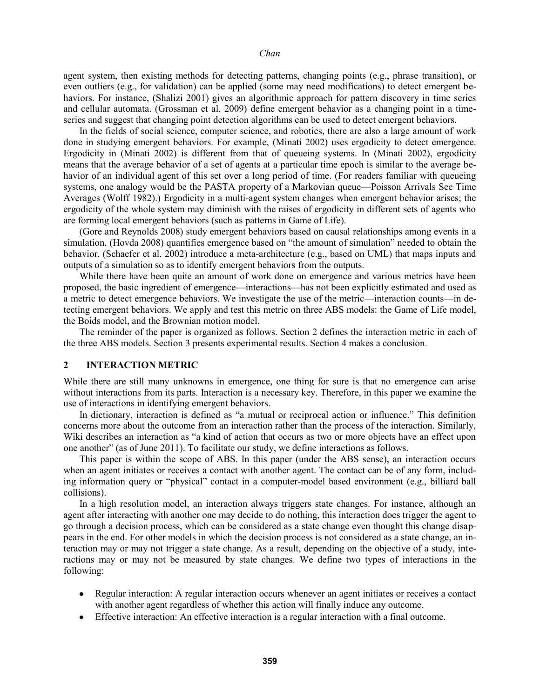agent system, then existing methods for detecting patterns, changing points (e.g., phrase transition), or even outliers (e.g., for validation) can be applied (some may need modifications) to detect emergent behaviors. For instance, (Shalizi 2001) gives an algorithmic approach for pattern discovery in time series and cellular automata. (Grossman et al. 2009) define emergent behavior as a changing point in a timeseries and suggest that changing point detection algorithms can be used to detect emergent behaviors.

In the fields of social science, computer science, and robotics, there are also a large amount of work done in studying emergent behaviors. For example, (Minati 2002) uses ergodicity to detect emergence. Ergodicity in (Minati 2002) is different from that of queueing systems. In (Minati 2002), ergodicity means that the average behavior of a set of agents at a particular time epoch is similar to the average behavior of an individual agent of this set over a long period of time. (For readers familiar with queueing systems, one analogy would be the PASTA property of a Markovian queue—Poisson Arrivals See Time Averages (Wolff 1982).) Ergodicity in a multi-agent system changes when emergent behavior arises; the ergodicity of the whole system may diminish with the raises of ergodicity in different sets of agents who are forming local emergent behaviors (such as patterns in Game of Life).

(Gore and Reynolds 2008) study emergent behaviors based on causal relationships among events in a simulation. (Hovda 2008) quantifies emergence based on "the amount of simulation" needed to obtain the behavior. (Schaefer et al. 2002) introduce a meta-architecture (e.g., based on UML) that maps inputs and outputs of a simulation so as to identify emergent behaviors from the outputs.

While there have been quite an amount of work done on emergence and various metrics have been proposed, the basic ingredient of emergence—interactions—has not been explicitly estimated and used as a metric to detect emergence behaviors. We investigate the use of the metric—interaction counts—in detecting emergent behaviors. We apply and test this metric on three ABS models: the Game of Life model, the Boids model, and the Brownian motion model.

The reminder of the paper is organized as follows. Section 2 defines the interaction metric in each of the three ABS models. Section 3 presents experimental results. Section 4 makes a conclusion.

#### **2 INTERACTION METRIC**

While there are still many unknowns in emergence, one thing for sure is that no emergence can arise without interactions from its parts. Interaction is a necessary key. Therefore, in this paper we examine the use of interactions in identifying emergent behaviors.

In dictionary, interaction is defined as "a mutual or reciprocal action or influence." This definition concerns more about the outcome from an interaction rather than the process of the interaction. Similarly, Wiki describes an interaction as "a kind of action that occurs as two or more objects have an effect upon one another" (as of June 2011). To facilitate our study, we define interactions as follows.

This paper is within the scope of ABS. In this paper (under the ABS sense), an interaction occurs when an agent initiates or receives a contact with another agent. The contact can be of any form, including information query or "physical" contact in a computer-model based environment (e.g., billiard ball collisions).

In a high resolution model, an interaction always triggers state changes. For instance, although an agent after interacting with another one may decide to do nothing, this interaction does trigger the agent to go through a decision process, which can be considered as a state change even thought this change disappears in the end. For other models in which the decision process is not considered as a state change, an interaction may or may not trigger a state change. As a result, depending on the objective of a study, interactions may or may not be measured by state changes. We define two types of interactions in the following:

- Regular interaction: A regular interaction occurs whenever an agent initiates or receives a contact with another agent regardless of whether this action will finally induce any outcome.
- Effective interaction: An effective interaction is a regular interaction with a final outcome.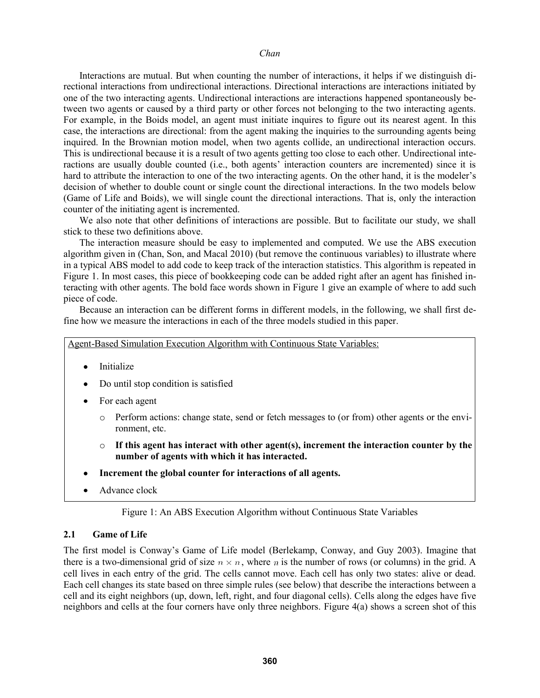Interactions are mutual. But when counting the number of interactions, it helps if we distinguish directional interactions from undirectional interactions. Directional interactions are interactions initiated by one of the two interacting agents. Undirectional interactions are interactions happened spontaneously between two agents or caused by a third party or other forces not belonging to the two interacting agents. For example, in the Boids model, an agent must initiate inquires to figure out its nearest agent. In this case, the interactions are directional: from the agent making the inquiries to the surrounding agents being inquired. In the Brownian motion model, when two agents collide, an undirectional interaction occurs. This is undirectional because it is a result of two agents getting too close to each other. Undirectional interactions are usually double counted (i.e., both agents' interaction counters are incremented) since it is hard to attribute the interaction to one of the two interacting agents. On the other hand, it is the modeler's decision of whether to double count or single count the directional interactions. In the two models below (Game of Life and Boids), we will single count the directional interactions. That is, only the interaction counter of the initiating agent is incremented.

We also note that other definitions of interactions are possible. But to facilitate our study, we shall stick to these two definitions above.

The interaction measure should be easy to implemented and computed. We use the ABS execution algorithm given in (Chan, Son, and Macal 2010) (but remove the continuous variables) to illustrate where in a typical ABS model to add code to keep track of the interaction statistics. This algorithm is repeated in Figure 1. In most cases, this piece of bookkeeping code can be added right after an agent has finished interacting with other agents. The bold face words shown in Figure 1 give an example of where to add such piece of code.

Because an interaction can be different forms in different models, in the following, we shall first define how we measure the interactions in each of the three models studied in this paper.

## Agent-Based Simulation Execution Algorithm with Continuous State Variables:

- Initialize
- Do until stop condition is satisfied
- For each agent
	- o Perform actions: change state, send or fetch messages to (or from) other agents or the environment, etc.
	- o **If this agent has interact with other agent(s), increment the interaction counter by the number of agents with which it has interacted.**
- **Increment the global counter for interactions of all agents.**
- Advance clock  $\bullet$

Figure 1: An ABS Execution Algorithm without Continuous State Variables

## **2.1 Game of Life**

The first model is Conway's Game of Life model (Berlekamp, Conway, and Guy 2003). Imagine that there is a two-dimensional grid of size  $n \times n$ , where *n* is the number of rows (or columns) in the grid. A cell lives in each entry of the grid. The cells cannot move. Each cell has only two states: alive or dead. Each cell changes its state based on three simple rules (see below) that describe the interactions between a cell and its eight neighbors (up, down, left, right, and four diagonal cells). Cells along the edges have five neighbors and cells at the four corners have only three neighbors. Figure 4(a) shows a screen shot of this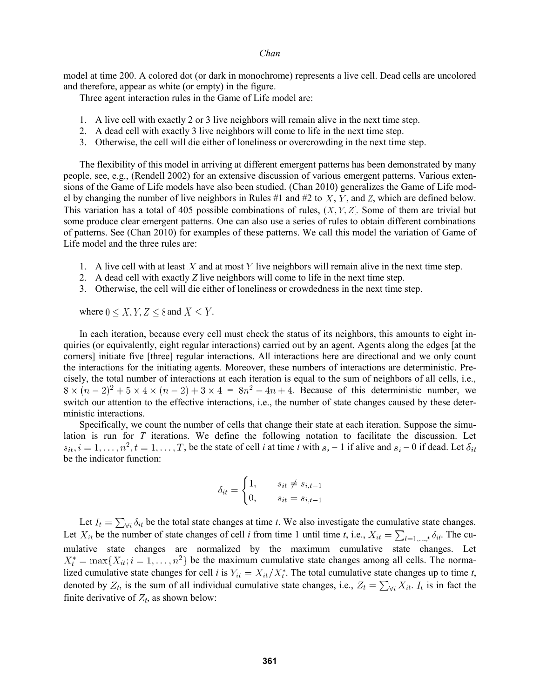model at time 200. A colored dot (or dark in monochrome) represents a live cell. Dead cells are uncolored and therefore, appear as white (or empty) in the figure.

Three agent interaction rules in the Game of Life model are:

- 1. A live cell with exactly 2 or 3 live neighbors will remain alive in the next time step.
- 2. A dead cell with exactly 3 live neighbors will come to life in the next time step.
- 3. Otherwise, the cell will die either of loneliness or overcrowding in the next time step.

The flexibility of this model in arriving at different emergent patterns has been demonstrated by many people, see, e.g., (Rendell 2002) for an extensive discussion of various emergent patterns. Various extensions of the Game of Life models have also been studied. (Chan 2010) generalizes the Game of Life model by changing the number of live neighbors in Rules #1 and #2 to  $X$ ,  $Y$ , and  $Z$ , which are defined below. This variation has a total of 405 possible combinations of rules,  $(X, Y, Z)$ . Some of them are trivial but some produce clear emergent patterns. One can also use a series of rules to obtain different combinations of patterns. See (Chan 2010) for examples of these patterns. We call this model the variation of Game of Life model and the three rules are:

- 1. A live cell with at least  $X$  and at most  $Y$  live neighbors will remain alive in the next time step.
- 2. A dead cell with exactly *Z* live neighbors will come to life in the next time step.
- 3. Otherwise, the cell will die either of loneliness or crowdedness in the next time step.

where  $0 \le X, Y, Z \le 8$  and  $X \le Y$ .

In each iteration, because every cell must check the status of its neighbors, this amounts to eight inquiries (or equivalently, eight regular interactions) carried out by an agent. Agents along the edges [at the corners] initiate five [three] regular interactions. All interactions here are directional and we only count the interactions for the initiating agents. Moreover, these numbers of interactions are deterministic. Precisely, the total number of interactions at each iteration is equal to the sum of neighbors of all cells, i.e.,  $8 \times (n-2)^2 + 5 \times 4 \times (n-2) + 3 \times 4 = 8n^2 - 4n + 4$ . Because of this deterministic number, we switch our attention to the effective interactions, i.e., the number of state changes caused by these deterministic interactions.

Specifically, we count the number of cells that change their state at each iteration. Suppose the simulation is run for *T* iterations. We define the following notation to facilitate the discussion. Let  $s_{it}$ ,  $i = 1, \ldots, n^2$ ,  $t = 1, \ldots, T$ , be the state of cell *i* at time *t* with  $s_i = 1$  if alive and  $s_i = 0$  if dead. Let  $\delta_{it}$ be the indicator function:

$$
\delta_{it} = \begin{cases} 1, & s_{it} \neq s_{i,t-1} \\ 0, & s_{it} = s_{i,t-1} \end{cases}
$$

Let  $I_t = \sum_{\forall i} \delta_{it}$  be the total state changes at time *t*. We also investigate the cumulative state changes. Let  $X_{it}$  be the number of state changes of cell *i* from time 1 until time *t*, i.e.,  $X_{it} = \sum_{l=1,...,t} \delta_{il}$ . The cumulative state changes are normalized by the maximum cumulative state changes. Let be the maximum cumulative state changes among all cells. The normalized cumulative state changes for cell *i* is  $Y_{it} = X_{it}/X_t^*$ . The total cumulative state changes up to time *t*, denoted by  $Z_t$ , is the sum of all individual cumulative state changes, i.e.,  $Z_t = \sum_{\forall i} X_{it}$ .  $I_t$  is in fact the finite derivative of  $Z_t$ , as shown below: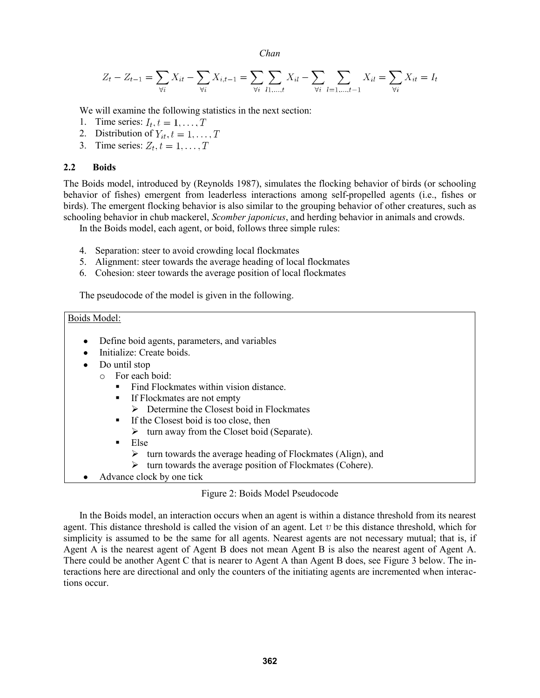$$
Z_t - Z_{t-1} = \sum_{\forall i} X_{it} - \sum_{\forall i} X_{i,t-1} = \sum_{\forall i} \sum_{l1,\dots,t} X_{il} - \sum_{\forall i} \sum_{l=1,\dots,t-1} X_{il} = \sum_{\forall i} X_{it} = I_t
$$

We will examine the following statistics in the next section:

- 1. Time series:  $I_t$ ,  $t = 1, \ldots, T$
- 2. Distribution of  $Y_{it}$ ,  $t = 1, \ldots, T$
- 3. Time series:  $Z_t$ ,  $t = 1, \ldots, T$

## **2.2 Boids**

The Boids model, introduced by (Reynolds 1987), simulates the flocking behavior of birds (or schooling behavior of fishes) emergent from leaderless interactions among self-propelled agents (i.e., fishes or birds). The emergent flocking behavior is also similar to the grouping behavior of other creatures, such as schooling behavior in chub mackerel, *Scomber japonicus*, and herding behavior in animals and crowds.

In the Boids model, each agent, or boid, follows three simple rules:

- 4. Separation: steer to avoid crowding local flockmates
- 5. Alignment: steer towards the average heading of local flockmates
- 6. Cohesion: steer towards the average position of local flockmates

The pseudocode of the model is given in the following.

### Boids Model:

- Define boid agents, parameters, and variables
- Initialize: Create boids.
- Do until stop
	- o For each boid:
		- Find Flockmates within vision distance.
		- If Flockmates are not empty
			- $\triangleright$  Determine the Closest boid in Flockmates
		- If the Closest boid is too close, then
			- $\triangleright$  turn away from the Closet boid (Separate).
		- $\blacksquare$  Else
			- $\triangleright$  turn towards the average heading of Flockmates (Align), and
			- $\triangleright$  turn towards the average position of Flockmates (Cohere).
- Advance clock by one tick

## Figure 2: Boids Model Pseudocode

In the Boids model, an interaction occurs when an agent is within a distance threshold from its nearest agent. This distance threshold is called the vision of an agent. Let  $v$  be this distance threshold, which for simplicity is assumed to be the same for all agents. Nearest agents are not necessary mutual; that is, if Agent A is the nearest agent of Agent B does not mean Agent B is also the nearest agent of Agent A. There could be another Agent C that is nearer to Agent A than Agent B does, see Figure 3 below. The interactions here are directional and only the counters of the initiating agents are incremented when interactions occur.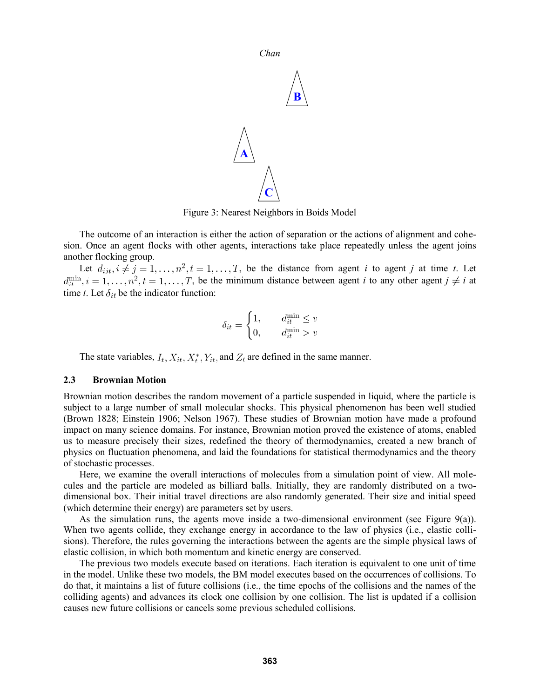

Figure 3: Nearest Neighbors in Boids Model

The outcome of an interaction is either the action of separation or the actions of alignment and cohesion. Once an agent flocks with other agents, interactions take place repeatedly unless the agent joins another flocking group.

Let  $d_{ijt}$ ,  $i \neq j = 1, \ldots, n^2$ ,  $t = 1, \ldots, T$ , be the distance from agent *i* to agent *j* at time *t*. Let , be the minimum distance between agent *i* to any other agent  $j \neq i$  at time *t*. Let  $\delta_{it}$  be the indicator function:

$$
\delta_{it} = \begin{cases} 1, & d_{it}^{\min} \le v \\ 0, & d_{it}^{\min} > v \end{cases}
$$

The state variables,  $I_t$ ,  $X_{it}$ ,  $X_t^*$ ,  $Y_{it}$ , and  $Z_t$  are defined in the same manner.

#### **2.3 Brownian Motion**

Brownian motion describes the random movement of a particle suspended in liquid, where the particle is subject to a large number of small molecular shocks. This physical phenomenon has been well studied (Brown 1828; Einstein 1906; Nelson 1967). These studies of Brownian motion have made a profound impact on many science domains. For instance, Brownian motion proved the existence of atoms, enabled us to measure precisely their sizes, redefined the theory of thermodynamics, created a new branch of physics on fluctuation phenomena, and laid the foundations for statistical thermodynamics and the theory of stochastic processes.

Here, we examine the overall interactions of molecules from a simulation point of view. All molecules and the particle are modeled as billiard balls. Initially, they are randomly distributed on a twodimensional box. Their initial travel directions are also randomly generated. Their size and initial speed (which determine their energy) are parameters set by users.

As the simulation runs, the agents move inside a two-dimensional environment (see Figure 9(a)). When two agents collide, they exchange energy in accordance to the law of physics (i.e., elastic collisions). Therefore, the rules governing the interactions between the agents are the simple physical laws of elastic collision, in which both momentum and kinetic energy are conserved.

The previous two models execute based on iterations. Each iteration is equivalent to one unit of time in the model. Unlike these two models, the BM model executes based on the occurrences of collisions. To do that, it maintains a list of future collisions (i.e., the time epochs of the collisions and the names of the colliding agents) and advances its clock one collision by one collision. The list is updated if a collision causes new future collisions or cancels some previous scheduled collisions.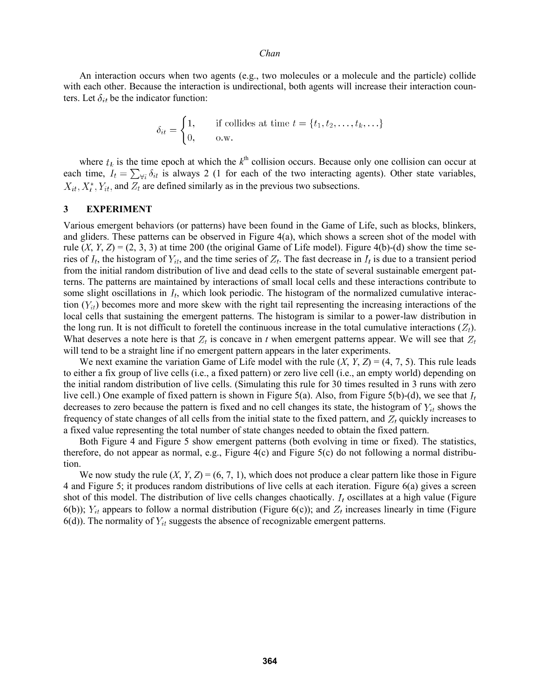An interaction occurs when two agents (e.g., two molecules or a molecule and the particle) collide with each other. Because the interaction is undirectional, both agents will increase their interaction counters. Let  $\delta_{it}$  be the indicator function:

$$
\delta_{it} = \begin{cases} 1, & \text{if collides at time } t = \{t_1, t_2, \dots, t_k, \dots\} \\ 0, & \text{o.w.} \end{cases}
$$

where  $t_k$  is the time epoch at which the  $k^{\text{th}}$  collision occurs. Because only one collision can occur at each time,  $I_t = \sum_{\forall i} \delta_{it}$  is always 2 (1 for each of the two interacting agents). Other state variables,  $X_{it}, X_{t}^{*}, Y_{it}$ , and  $Z_{t}$  are defined similarly as in the previous two subsections.

### **3 EXPERIMENT**

Various emergent behaviors (or patterns) have been found in the Game of Life, such as blocks, blinkers, and gliders. These patterns can be observed in Figure 4(a), which shows a screen shot of the model with rule  $(X, Y, Z) = (2, 3, 3)$  at time 200 (the original Game of Life model). Figure 4(b)-(d) show the time series of  $I_t$ , the histogram of  $Y_{it}$ , and the time series of  $Z_t$ . The fast decrease in  $I_t$  is due to a transient period from the initial random distribution of live and dead cells to the state of several sustainable emergent patterns. The patterns are maintained by interactions of small local cells and these interactions contribute to some slight oscillations in  $I_t$ , which look periodic. The histogram of the normalized cumulative interaction  $(Y_{it})$  becomes more and more skew with the right tail representing the increasing interactions of the local cells that sustaining the emergent patterns. The histogram is similar to a power-law distribution in the long run. It is not difficult to foretell the continuous increase in the total cumulative interactions  $(Z_t)$ . What deserves a note here is that  $Z_t$  is concave in *t* when emergent patterns appear. We will see that  $Z_t$ will tend to be a straight line if no emergent pattern appears in the later experiments.

We next examine the variation Game of Life model with the rule  $(X, Y, Z) = (4, 7, 5)$ . This rule leads to either a fix group of live cells (i.e., a fixed pattern) or zero live cell (i.e., an empty world) depending on the initial random distribution of live cells. (Simulating this rule for 30 times resulted in 3 runs with zero live cell.) One example of fixed pattern is shown in Figure 5(a). Also, from Figure 5(b)-(d), we see that  $I_t$ decreases to zero because the pattern is fixed and no cell changes its state, the histogram of  $Y_{it}$  shows the frequency of state changes of all cells from the initial state to the fixed pattern, and  $Z_t$  quickly increases to a fixed value representing the total number of state changes needed to obtain the fixed pattern.

Both Figure 4 and Figure 5 show emergent patterns (both evolving in time or fixed). The statistics, therefore, do not appear as normal, e.g., Figure  $4(c)$  and Figure  $5(c)$  do not following a normal distribution.

We now study the rule  $(X, Y, Z) = (6, 7, 1)$ , which does not produce a clear pattern like those in Figure 4 and Figure 5; it produces random distributions of live cells at each iteration. Figure 6(a) gives a screen shot of this model. The distribution of live cells changes chaotically.  $I_t$  oscillates at a high value (Figure 6(b));  $Y_{it}$  appears to follow a normal distribution (Figure 6(c)); and  $Z_t$  increases linearly in time (Figure  $6(d)$ ). The normality of  $Y_{it}$  suggests the absence of recognizable emergent patterns.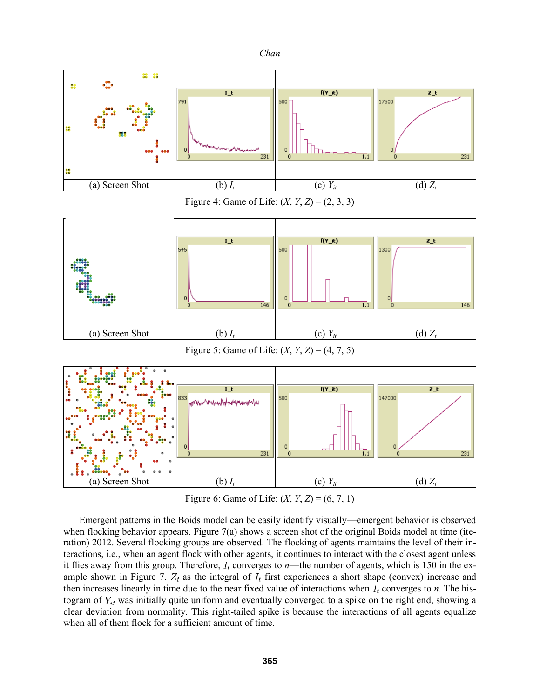



Figure 6: Game of Life:  $(X, Y, Z) = (6, 7, 1)$ 

Emergent patterns in the Boids model can be easily identify visually—emergent behavior is observed when flocking behavior appears. Figure 7(a) shows a screen shot of the original Boids model at time (iteration) 2012. Several flocking groups are observed. The flocking of agents maintains the level of their interactions, i.e., when an agent flock with other agents, it continues to interact with the closest agent unless it flies away from this group. Therefore,  $I_t$  converges to  $n$ —the number of agents, which is 150 in the example shown in Figure 7.  $Z_t$  as the integral of  $I_t$  first experiences a short shape (convex) increase and then increases linearly in time due to the near fixed value of interactions when  $I_t$  converges to  $n$ . The histogram of  $Y_{it}$  was initially quite uniform and eventually converged to a spike on the right end, showing a clear deviation from normality. This right-tailed spike is because the interactions of all agents equalize when all of them flock for a sufficient amount of time.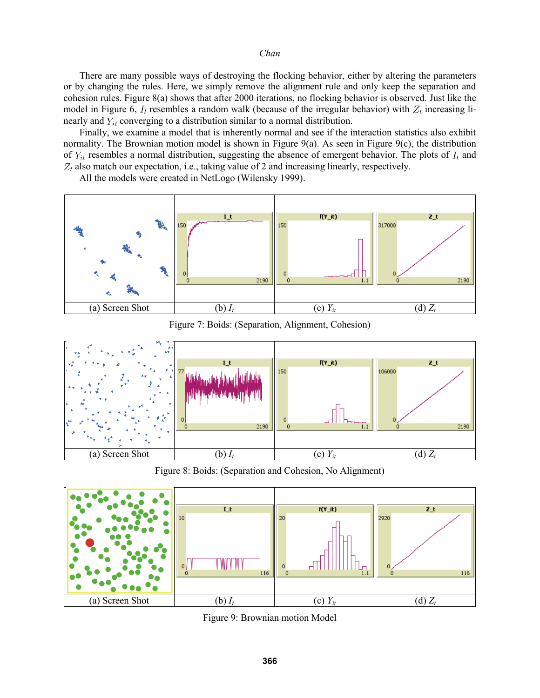There are many possible ways of destroying the flocking behavior, either by altering the parameters or by changing the rules. Here, we simply remove the alignment rule and only keep the separation and cohesion rules. Figure 8(a) shows that after 2000 iterations, no flocking behavior is observed. Just like the model in Figure 6,  $I_t$  resembles a random walk (because of the irregular behavior) with  $Z_t$  increasing linearly and  $Y_{it}$  converging to a distribution similar to a normal distribution.

Finally, we examine a model that is inherently normal and see if the interaction statistics also exhibit normality. The Brownian motion model is shown in Figure 9(a). As seen in Figure 9(c), the distribution of  $Y_{it}$  resembles a normal distribution, suggesting the absence of emergent behavior. The plots of  $I_t$  and  $Z_t$  also match our expectation, i.e., taking value of 2 and increasing linearly, respectively.

All the models were created in NetLogo (Wilensky 1999).



Figure 7: Boids: (Separation, Alignment, Cohesion)



Figure 8: Boids: (Separation and Cohesion, No Alignment)



Figure 9: Brownian motion Model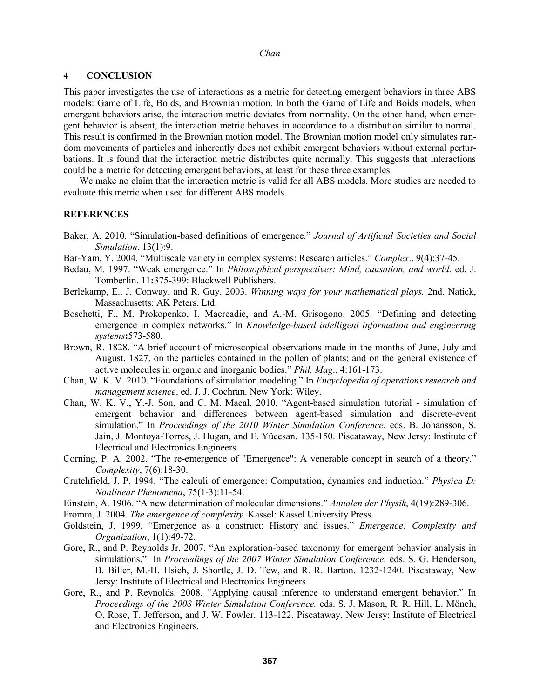### **4 CONCLUSION**

This paper investigates the use of interactions as a metric for detecting emergent behaviors in three ABS models: Game of Life, Boids, and Brownian motion. In both the Game of Life and Boids models, when emergent behaviors arise, the interaction metric deviates from normality. On the other hand, when emergent behavior is absent, the interaction metric behaves in accordance to a distribution similar to normal. This result is confirmed in the Brownian motion model. The Brownian motion model only simulates random movements of particles and inherently does not exhibit emergent behaviors without external perturbations. It is found that the interaction metric distributes quite normally. This suggests that interactions could be a metric for detecting emergent behaviors, at least for these three examples.

We make no claim that the interaction metric is valid for all ABS models. More studies are needed to evaluate this metric when used for different ABS models.

### **REFERENCES**

- Baker, A. 2010. "Simulation-based definitions of emergence." *Journal of Artificial Societies and Social Simulation*, 13(1):9.
- Bar-Yam, Y. 2004. "Multiscale variety in complex systems: Research articles." *Complex*., 9(4):37-45.
- Bedau, M. 1997. "Weak emergence." In *Philosophical perspectives: Mind, causation, and world*. ed. J. Tomberlin. 11**:**375-399: Blackwell Publishers.
- Berlekamp, E., J. Conway, and R. Guy. 2003. *Winning ways for your mathematical plays.* 2nd. Natick, Massachusetts: AK Peters, Ltd.
- Boschetti, F., M. Prokopenko, I. Macreadie, and A.-M. Grisogono. 2005. "Defining and detecting emergence in complex networks." In *Knowledge-based intelligent information and engineering systems***:**573-580.
- Brown, R. 1828. "A brief account of microscopical observations made in the months of June, July and August, 1827, on the particles contained in the pollen of plants; and on the general existence of active molecules in organic and inorganic bodies." *Phil. Mag*., 4:161-173.
- Chan, W. K. V. 2010. "Foundations of simulation modeling." In *Encyclopedia of operations research and management science*. ed. J. J. Cochran. New York: Wiley.
- Chan, W. K. V., Y.-J. Son, and C. M. Macal. 2010. "Agent-based simulation tutorial simulation of emergent behavior and differences between agent-based simulation and discrete-event simulation." In *Proceedings of the 2010 Winter Simulation Conference.* eds. B. Johansson, S. Jain, J. Montoya-Torres, J. Hugan, and E. Yücesan. 135-150. Piscataway, New Jersy: Institute of Electrical and Electronics Engineers.
- Corning, P. A. 2002. "The re-emergence of "Emergence": A venerable concept in search of a theory." *Complexity*, 7(6):18-30.
- Crutchfield, J. P. 1994. "The calculi of emergence: Computation, dynamics and induction." *Physica D: Nonlinear Phenomena*, 75(1-3):11-54.
- Einstein, A. 1906. "A new determination of molecular dimensions." *Annalen der Physik*, 4(19):289-306.
- Fromm, J. 2004. *The emergence of complexity.* Kassel: Kassel University Press.
- Goldstein, J. 1999. "Emergence as a construct: History and issues." *Emergence: Complexity and Organization*, 1(1):49-72.
- Gore, R., and P. Reynolds Jr. 2007. "An exploration-based taxonomy for emergent behavior analysis in simulations." In *Proceedings of the 2007 Winter Simulation Conference.* eds. S. G. Henderson, B. Biller, M.-H. Hsieh, J. Shortle, J. D. Tew, and R. R. Barton. 1232-1240. Piscataway, New Jersy: Institute of Electrical and Electronics Engineers.
- Gore, R., and P. Reynolds. 2008. "Applying causal inference to understand emergent behavior." In *Proceedings of the 2008 Winter Simulation Conference.* eds. S. J. Mason, R. R. Hill, L. Mönch, O. Rose, T. Jefferson, and J. W. Fowler. 113-122. Piscataway, New Jersy: Institute of Electrical and Electronics Engineers.